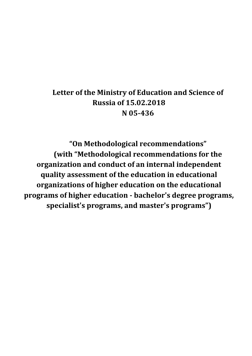# **Letter of the Ministry of Education and Science of Russia of 15.02.2018 N 05-436**

**"On Methodological recommendations" (with "Methodological recommendations for the organization and conduct of an internal independent quality assessment of the education in educational organizations of higher education on the educational programs of higher education - bachelor's degree programs, specialist's programs, and master's programs")**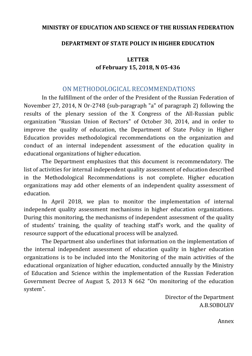#### **MINISTRY OF EDUCATION AND SCIENCE OF THE RUSSIAN FEDERATION**

#### **DEPARTMENT OF STATE POLICY IN HIGHER EDUCATION**

#### **LETTER of February 15, 2018, N 05-436**

#### ON METHODOLOGICAL RECOMMENDATIONS

In the fulfillment of the order of the President of the Russian Federation of November 27, 2014, N Or-2748 (sub-paragraph "a" of paragraph 2) following the results of the plenary session of the X Congress of the All-Russian public organization "Russian Union of Rectors" of October 30, 2014, and in order to improve the quality of education, the Department of State Policy in Higher Education provides methodological recommendations on the organization and conduct of an internal independent assessment of the education quality in educational organizations of higher education.

The Department emphasizes that this document is recommendatory. The list of activities for internal independent quality assessment of education described in the Methodological Recommendations is not complete. Higher education organizations may add other elements of an independent quality assessment of education.

In April 2018, we plan to monitor the implementation of internal independent quality assessment mechanisms in higher education organizations. During this monitoring, the mechanisms of independent assessment of the quality of students' training, the quality of teaching staff's work, and the quality of resource support of the educational process will be analyzed.

The Department also underlines that information on the implementation of the internal independent assessment of education quality in higher education organizations is to be included into the Monitoring of the main activities of the educational organization of higher education, conducted annually by the Ministry of Education and Science within the implementation of the Russian Federation Government Decree of August 5, 2013 N 662 "On monitoring of the education system".

> Director of the Department A.B.SOBOLEV

> > Annex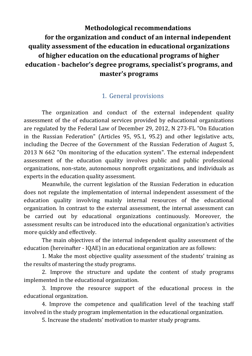**Methodological recommendations for the organization and conduct of an internal independent quality assessment of the education in educational organizations of higher education on the educational programs of higher education - bachelor's degree programs, specialist's programs, and master's programs**

### 1. General provisions

The organization and conduct of the external independent quality assessment of the of educational services provided by educational organizations are regulated by the Federal Law of December 29, 2012, N 273-FL "On Education in the Russian Federation" (Articles 95, 95.1, 95.2) and other legislative acts, including the Decree of the Government of the Russian Federation of August 5, 2013 N 662 "On monitoring of the education system". The external independent assessment of the education quality involves public and public professional organizations, non-state, autonomous nonprofit organizations, and individuals as experts in the education quality assessment.

Meanwhile, the current legislation of the Russian Federation in education does not regulate the implementation of internal independent assessment of the education quality involving mainly internal resources of the educational organization. In contrast to the external assessment, the internal assessment can be carried out by educational organizations continuously. Moreover, the assessment results can be introduced into the educational organization's activities more quickly and effectively.

The main objectives of the internal independent quality assessment of the education (hereinafter - IQAE) in an educational organization are as follows:

1. Make the most objective quality assessment of the students' training as the results of mastering the study programs.

2. Improve the structure and update the content of study programs implemented in the educational organization.

3. Improve the resource support of the educational process in the educational organization.

4. Improve the competence and qualification level of the teaching staff involved in the study program implementation in the educational organization.

5. Increase the students' motivation to master study programs.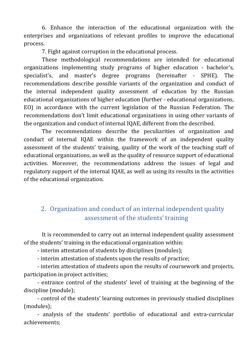6. Enhance the interaction of the educational organization with the enterprises and organizations of relevant profiles to improve the educational process.

7. Fight against corruption in the educational process.

These methodological recommendations are intended for educational organizations implementing study programs of higher education - bachelor's, specialist's, and master's degree programs (hereinafter - SPHE). The recommendations describe possible variants of the organization and conduct of the internal independent quality assessment of education by the Russian educational organizations of higher education (further - educational organizations, EO) in accordance with the current legislation of the Russian Federation. The recommendations don't limit educational organizations in using other variants of the organization and conduct of internal IQAE, different from the described.

The recommendations describe the peculiarities of organization and conduct of internal IQAE within the framework of an independent quality assessment of the students' training, quality of the work of the teaching staff of educational organizations, as well as the quality of resource support of educational activities. Moreover, the recommendations address the issues of legal and regulatory support of the internal IQAE, as well as using its results in the activities of the educational organization.

## 2. Organization and conduct of an internal independent quality assessment of the students' training

It is recommended to carry out an internal independent quality assessment of the students' training in the educational organization within:

- interim attestation of students by disciplines (modules);

- interim attestation of students upon the results of practice;

- interim attestation of students upon the results of coursework and projects, participation in project activities;

- entrance control of the students' level of training at the beginning of the discipline (module);

- control of the students' learning outcomes in previously studied disciplines (modules);

- analysis of the students' portfolio of educational and extra-curricular achievements;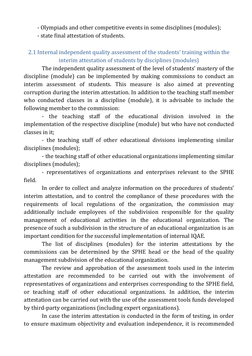- Olympiads and other competitive events in some disciplines (modules);
- state final attestation of students.

### 2.1 Internal independent quality assessment of the students' training within the interim attestation of students by disciplines (modules)

The independent quality assessment of the level of students' mastery of the discipline (module) can be implemented by making commissions to conduct an interim assessment of students. This measure is also aimed at preventing corruption during the interim attestation. In addition to the teaching staff member who conducted classes in a discipline (module), it is advisable to include the following member to the commission:

- the teaching staff of the educational division involved in the implementation of the respective discipline (module) but who have not conducted classes in it;

- the teaching staff of other educational divisions implementing similar disciplines (modules);

- the teaching staff of other educational organizations implementing similar disciplines (modules);

- representatives of organizations and enterprises relevant to the SPHE field.

In order to collect and analyze information on the procedures of students' interim attestation, and to control the compliance of these procedures with the requirements of local regulations of the organization, the commission may additionally include employees of the subdivision responsible for the quality management of educational activities in the educational organization. The presence of such a subdivision in the structure of an educational organization is an important condition for the successful implementation of internal IQAE.

The list of disciplines (modules) for the interim attestations by the commissions can be determined by the SPHE head or the head of the quality management subdivision of the educational organization.

The review and approbation of the assessment tools used in the interim attestation are recommended to be carried out with the involvement of representatives of organizations and enterprises corresponding to the SPHE field, or teaching staff of other educational organizations. In addition, the interim attestation can be carried out with the use of the assessment tools funds developed by third-party organizations (including expert organizations).

In case the interim attestation is conducted in the form of testing, in order to ensure maximum objectivity and evaluation independence, it is recommended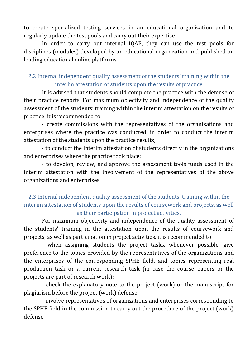to create specialized testing services in an educational organization and to regularly update the test pools and carry out their expertise.

In order to carry out internal IQAE, they can use the test pools for disciplines (modules) developed by an educational organization and published on leading educational online platforms.

#### 2.2 Internal independent quality assessment of the students' training within the interim attestation of students upon the results of practice

It is advised that students should complete the practice with the defense of their practice reports. For maximum objectivity and independence of the quality assessment of the students' training within the interim attestation on the results of practice, it is recommended to:

- create commissions with the representatives of the organizations and enterprises where the practice was conducted, in order to conduct the interim attestation of the students upon the practice results;

- to conduct the interim attestation of students directly in the organizations and enterprises where the practice took place;

- to develop, review, and approve the assessment tools funds used in the interim attestation with the involvement of the representatives of the above organizations and enterprises.

#### 2.3 Internal independent quality assessment of the students' training within the interim attestation of students upon the results of coursework and projects, as well as their participation in project activities.

For maximum objectivity and independence of the quality assessment of the students' training in the attestation upon the results of coursework and projects, as well as participation in project activities, it is recommended to:

- when assigning students the project tasks, whenever possible, give preference to the topics provided by the representatives of the organizations and the enterprises of the corresponding SPHE field, and topics representing real production task or a current research task (in case the course papers or the projects are part of research work);

- check the explanatory note to the project (work) or the manuscript for plagiarism before the project (work) defense;

- involve representatives of organizations and enterprises corresponding to the SPHE field in the commission to carry out the procedure of the project (work) defense.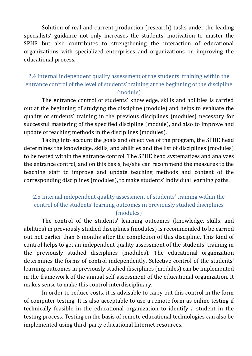Solution of real and current production (research) tasks under the leading specialists' guidance not only increases the students' motivation to master the SPHE but also contributes to strengthening the interaction of educational organizations with specialized enterprises and organizations on improving the educational process.

#### 2.4 Internal independent quality assessment of the students' training within the entrance control of the level of students' training at the beginning of the discipline (module)

The entrance control of students' knowledge, skills and abilities is carried out at the beginning of studying the discipline (module) and helps to evaluate the quality of students' training in the previous disciplines (modules) necessary for successful mastering of the specified discipline (module), and also to improve and update of teaching methods in the disciplines (modules).

Taking into account the goals and objectives of the program, the SPHE head determines the knowledge, skills, and abilities and the list of disciplines (modules) to be tested within the entrance control. The SPHE head systematizes and analyzes the entrance control, and on this basis, he/she can recommend the measures to the teaching staff to improve and update teaching methods and content of the corresponding disciplines (modules), to make students' individual learning paths.

#### 2.5 Internal independent quality assessment of students' training within the control of the students' learning outcomes in previously studied disciplines (modules)

The control of the students' learning outcomes (knowledge, skills, and abilities) in previously studied disciplines (modules) is recommended to be carried out not earlier than 6 months after the completion of this discipline. This kind of control helps to get an independent quality assessment of the students' training in the previously studied disciplines (modules). The educational organization determines the forms of control independently. Selective control of the students' learning outcomes in previously studied disciplines (modules) can be implemented in the framework of the annual self-assessment of the educational organization. It makes sense to make this control interdisciplinary.

In order to reduce costs, it is advisable to carry out this control in the form of computer testing. It is also acceptable to use a remote form as online testing if technically feasible in the educational organization to identify a student in the testing process. Testing on the basis of remote educational technologies can also be implemented using third-party educational Internet resources.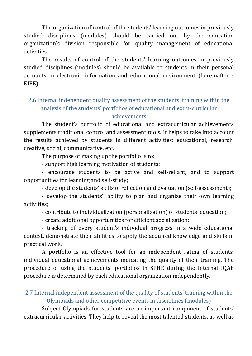The organization of control of the students' learning outcomes in previously studied disciplines (modules) should be carried out by the education organization's division responsible for quality management of educational activities.

The results of control of the students' learning outcomes in previously studied disciplines (modules) should be available to students in their personal accounts in electronic information and educational environment (hereinafter - EIEE).

#### 2.6 Internal independent quality assessment of the students' training within the analysis of the students' portfolios of educational and extra-curricular achievements

The student's portfolio of educational and extracurricular achievements supplements traditional control and assessment tools. It helps to take into account the results achieved by students in different activities: educational, research, creative, social, communicative, etc.

The purpose of making up the portfolio is to:

- support high learning motivation of students;

- encourage students to be active and self-reliant, and to support opportunities for learning and self-study;

- develop the students' skills of reflection and evaluation (self-assessment);

- develop the students'' ability to plan and organize their own learning activities;

- contribute to individualization (personalization) of students' education;

- create additional opportunities for efficient socialization;

- tracking of every student's individual progress in a wide educational context, demonstrate their abilities to apply the acquired knowledge and skills in practical work.

A portfolio is an effective tool for an independent rating of students' individual educational achievements indicating the quality of their training. The procedure of using the students' portfolios in SPHE during the internal IQAE procedure is determined by each educational organization independently.

#### 2.7 Internal independent assessment of the quality of students' training within the Olympiads and other competitive events in disciplines (modules)

Subject Olympiads for students are an important component of students' extracurricular activities. They help to reveal the most talented students, as well as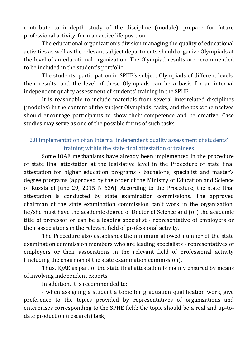contribute to in-depth study of the discipline (module), prepare for future professional activity, form an active life position.

The educational organization's division managing the quality of educational activities as well as the relevant subject departments should organize Olympiads at the level of an educational organization. The Olympiad results are recommended to be included in the student's portfolio.

The students' participation in SPHE's subject Olympiads of different levels, their results, and the level of these Olympiads can be a basis for an internal independent quality assessment of students' training in the SPHE.

It is reasonable to include materials from several interrelated disciplines (modules) in the content of the subject Olympiads' tasks, and the tasks themselves should encourage participants to show their competence and be creative. Case studies may serve as one of the possible forms of such tasks.

#### 2.8 Implementation of an internal independent quality assessment of students' training within the state final attestation of trainees

Some IQAE mechanisms have already been implemented in the procedure of state final attestation at the legislative level in the Procedure of state final attestation for higher education programs - bachelor's, specialist and master's degree programs (approved by the order of the Ministry of Education and Science of Russia of June 29, 2015 N 636). According to the Procedure, the state final attestation is conducted by state examination commissions. The approved chairman of the state examination commission can't work in the organization, he/she must have the academic degree of Doctor of Science and (or) the academic title of professor or can be a leading specialist - representative of employers or their associations in the relevant field of professional activity.

The Procedure also establishes the minimum allowed number of the state examination commission members who are leading specialists - representatives of employers or their associations in the relevant field of professional activity (including the chairman of the state examination commission).

Thus, IQAE as part of the state final attestation is mainly ensured by means of involving independent experts.

In addition, it is recommended to:

- when assigning a student a topic for graduation qualification work, give preference to the topics provided by representatives of organizations and enterprises corresponding to the SPHE field; the topic should be a real and up-todate production (research) task;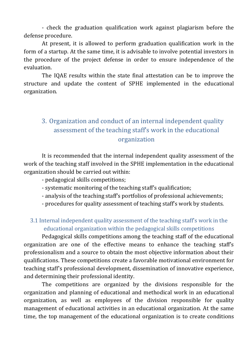- check the graduation qualification work against plagiarism before the defense procedure.

At present, it is allowed to perform graduation qualification work in the form of a startup. At the same time, it is advisable to involve potential investors in the procedure of the project defense in order to ensure independence of the evaluation.

The IQAE results within the state final attestation can be to improve the structure and update the content of SPHE implemented in the educational organization.

### 3. Organization and conduct of an internal independent quality assessment of the teaching staff's work in the educational organization

It is recommended that the internal independent quality assessment of the work of the teaching staff involved in the SPHE implementation in the educational organization should be carried out within:

- pedagogical skills competitions;
- systematic monitoring of the teaching staff's qualification;
- analysis of the teaching staff's portfolios of professional achievements;
- procedures for quality assessment of teaching staff's work by students.

#### 3.1 Internal independent quality assessment of the teaching staff's work in the educational organization within the pedagogical skills competitions

Pedagogical skills competitions among the teaching staff of the educational organization are one of the effective means to enhance the teaching staff's professionalism and a source to obtain the most objective information about their qualifications. These competitions create a favorable motivational environment for teaching staff's professional development, dissemination of innovative experience, and determining their professional identity.

The competitions are organized by the divisions responsible for the organization and planning of educational and methodical work in an educational organization, as well as employees of the division responsible for quality management of educational activities in an educational organization. At the same time, the top management of the educational organization is to create conditions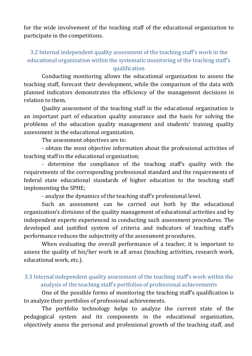for the wide involvement of the teaching staff of the educational organization to participate in the competitions.

#### 3.2 Internal independent quality assessment of the teaching staff's work in the educational organization within the systematic monitoring of the teaching staff's qualification

Conducting monitoring allows the educational organization to assess the teaching staff, forecast their development, while the comparison of the data with planned indicators demonstrates the efficiency of the management decisions in relation to them.

Quality assessment of the teaching staff in the educational organization is an important part of education quality assurance and the basis for solving the problems of the education quality management and students' training quality assessment in the educational organization.

The assessment objectives are to:

- obtain the most objective information about the professional activities of teaching staff in the educational organization;

- determine the compliance of the teaching staff's quality with the requirements of the corresponding professional standard and the requirements of federal state educational standards of higher education to the teaching staff implementing the SPHE;

- analyze the dynamics of the teaching staff's professional level.

Such an assessment can be carried out both by the educational organization's divisions of the quality management of educational activities and by independent experts experienced in conducting such assessment procedures. The developed and justified system of criteria and indicators of teaching staff's performance reduces the subjectivity of the assessment procedures.

When evaluating the overall performance of a teacher, it is important to assess the quality of his/her work in all areas (teaching activities, research work, educational work, etc.).

#### 3.3 Internal independent quality assessment of the teaching staff's work within the analysis of the teaching staff's portfolios of professional achievements

One of the possible forms of monitoring the teaching staff's qualification is to analyze their portfolios of professional achievements.

The portfolio technology helps to analyze the current state of the pedagogical system and its components in the educational organization, objectively assess the personal and professional growth of the teaching staff, and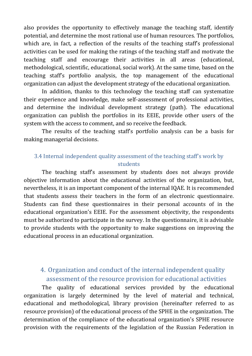also provides the opportunity to effectively manage the teaching staff, identify potential, and determine the most rational use of human resources. The portfolios, which are, in fact, a reflection of the results of the teaching staff's professional activities can be used for making the ratings of the teaching staff and motivate the teaching staff and encourage their activities in all areas (educational, methodological, scientific, educational, social work). At the same time, based on the teaching staff's portfolio analysis, the top management of the educational organization can adjust the development strategy of the educational organization.

In addition, thanks to this technology the teaching staff can systematize their experience and knowledge, make self-assessment of professional activities, and determine the individual development strategy (path). The educational organization can publish the portfolios in its EEIE, provide other users of the system with the access to comment, and so receive the feedback.

The results of the teaching staff's portfolio analysis can be a basis for making managerial decisions.

#### 3.4 Internal independent quality assessment of the teaching staff's work by students

The teaching staff's assessment by students does not always provide objective information about the educational activities of the organization, but, nevertheless, it is an important component of the internal IQAE. It is recommended that students assess their teachers in the form of an electronic questionnaire. Students can find these questionnaires in their personal accounts of in the educational organization's EEIE. For the assessment objectivity, the respondents must be authorized to participate in the survey. In the questionnaire, it is advisable to provide students with the opportunity to make suggestions on improving the educational process in an educational organization.

### 4. Organization and conduct of the internal independent quality assessment of the resource provision for educational activities

The quality of educational services provided by the educational organization is largely determined by the level of material and technical, educational and methodological, library provision (hereinafter referred to as resource provision) of the educational process of the SPHE in the organization. The determination of the compliance of the educational organization's SPHE resource provision with the requirements of the legislation of the Russian Federation in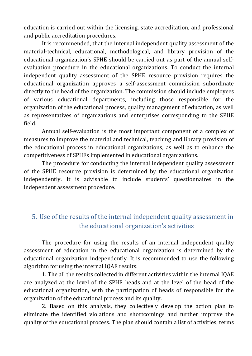education is carried out within the licensing, state accreditation, and professional and public accreditation procedures.

It is recommended, that the internal independent quality assessment of the material-technical, educational, methodological, and library provision of the educational organization's SPHE should be carried out as part of the annual selfevaluation procedure in the educational organizations. To conduct the internal independent quality assessment of the SPHE resource provision requires the educational organization approves a self-assessment commission subordinate directly to the head of the organization. The commission should include employees of various educational departments, including those responsible for the organization of the educational process, quality management of education, as well as representatives of organizations and enterprises corresponding to the SPHE field.

Annual self-evaluation is the most important component of a complex of measures to improve the material and technical, teaching and library provision of the educational process in educational organizations, as well as to enhance the competitiveness of SPHEs implemented in educational organizations.

The procedure for conducting the internal independent quality assessment of the SPHE resource provision is determined by the educational organization independently. It is advisable to include students' questionnaires in the independent assessment procedure.

## 5. Use of the results of the internal independent quality assessment in the educational organization's activities

The procedure for using the results of an internal independent quality assessment of education in the educational organization is determined by the educational organization independently. It is recommended to use the following algorithm for using the internal IQAE results:

1. The all the results collected in different activities within the internal IQAE are analyzed at the level of the SPHE heads and at the level of the head of the educational organization, with the participation of heads of responsible for the organization of the educational process and its quality.

2. Based on this analysis, they collectively develop the action plan to eliminate the identified violations and shortcomings and further improve the quality of the educational process. The plan should contain a list of activities, terms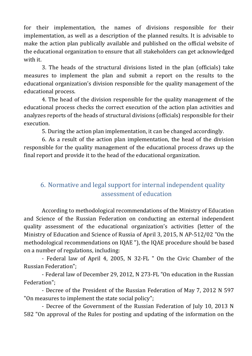for their implementation, the names of divisions responsible for their implementation, as well as a description of the planned results. It is advisable to make the action plan publically available and published on the official website of the educational organization to ensure that all stakeholders can get acknowledged with it.

3. The heads of the structural divisions listed in the plan (officials) take measures to implement the plan and submit a report on the results to the educational organization's division responsible for the quality management of the educational process.

4. The head of the division responsible for the quality management of the educational process checks the correct execution of the action plan activities and analyzes reports of the heads of structural divisions (officials) responsible for their execution.

5. During the action plan implementation, it can be changed accordingly.

6. As a result of the action plan implementation, the head of the division responsible for the quality management of the educational process draws up the final report and provide it to the head of the educational organization.

## 6. Normative and legal support for internal independent quality assessment of education

According to methodological recommendations of the Ministry of Education and Science of the Russian Federation on conducting an external independent quality assessment of the educational organization's activities (letter of the Ministry of Education and Science of Russia of April 3, 2015, N AP-512/02 "On the methodological recommendations on IQAE "), the IQAE procedure should be based on a number of regulations, including:

- Federal law of April 4, 2005, N 32-FL " On the Civic Chamber of the Russian Federation";

- Federal law of December 29, 2012, N 273-FL "On education in the Russian Federation";

- Decree of the President of the Russian Federation of May 7, 2012 N 597 "On measures to implement the state social policy";

- Decree of the Government of the Russian Federation of July 10, 2013 N 582 "On approval of the Rules for posting and updating of the information on the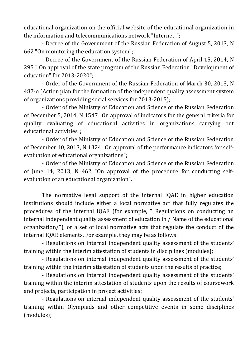educational organization on the official website of the educational organization in the information and telecommunications network "Internet"";

- Decree of the Government of the Russian Federation of August 5, 2013, N 662 "On monitoring the education system";

- Decree of the Government of the Russian Federation of April 15, 2014, N 295 " On approval of the state program of the Russian Federation "Development of education" for 2013-2020";

- Order of the Government of the Russian Federation of March 30, 2013, N 487-o (Action plan for the formation of the independent quality assessment system of organizations providing social services for 2013-2015);

- Order of the Ministry of Education and Science of the Russian Federation of December 5, 2014, N 1547 "On approval of indicators for the general criteria for quality evaluating of educational activities in organizations carrying out educational activities";

- Order of the Ministry of Education and Science of the Russian Federation of December 10, 2013, N 1324 "On approval of the performance indicators for selfevaluation of educational organizations";

- Order of the Ministry of Education and Science of the Russian Federation of June 14, 2013, N 462 "On approval of the procedure for conducting selfevaluation of an educational organization".

The normative legal support of the internal IQAE in higher education institutions should include either a local normative act that fully regulates the procedures of the internal IQAE (for example, " Regulations on conducting an internal independent quality assessment of education in / Name of the educational organization/"), or a set of local normative acts that regulate the conduct of the internal IQAE elements. For example, they may be as follows:

- Regulations on internal independent quality assessment of the students' training within the interim attestation of students in disciplines (modules);

- Regulations on internal independent quality assessment of the students' training within the interim attestation of students upon the results of practice;

- Regulations on internal independent quality assessment of the students' training within the interim attestation of students upon the results of coursework and projects, participation in project activities;

- Regulations on internal independent quality assessment of the students' training within Olympiads and other competitive events in some disciplines (modules);